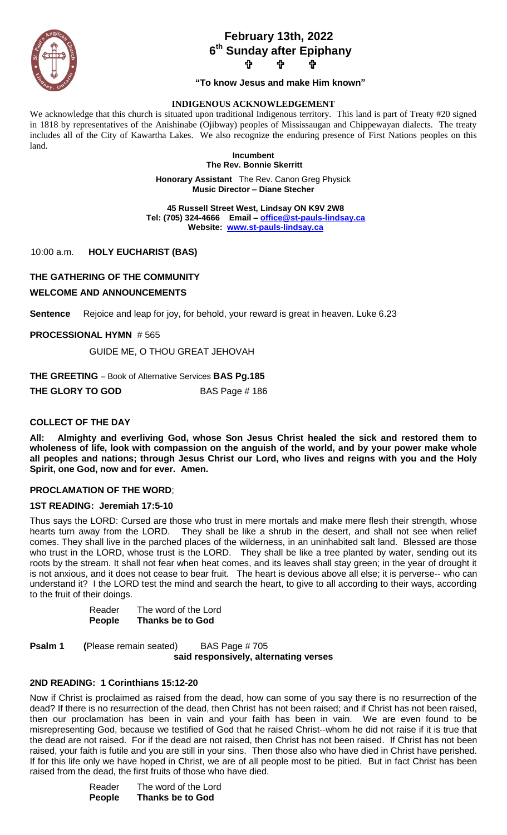

# **February 13th, 2022 6 th Sunday after Epiphany ታ ቀ**

## **"To know Jesus and make Him known"**

## **INDIGENOUS ACKNOWLEDGEMENT**

We acknowledge that this church is situated upon traditional Indigenous territory. This land is part of Treaty #20 signed in 1818 by representatives of the Anishinabe (Ojibway) peoples of Mississaugan and Chippewayan dialects. The treaty includes all of the City of Kawartha Lakes. We also recognize the enduring presence of First Nations peoples on this land.

> **Incumbent The Rev. Bonnie Skerritt**

**Honorary Assistant** The Rev. Canon Greg Physick **Music Director – Diane Stecher**

 **45 Russell Street West, Lindsay ON K9V 2W8 Tel: (705) 324-4666 Email – [office@st-pauls-lindsay.ca](mailto:office@st-pauls-lindsay.ca) Website: [www.st-pauls-lindsay.ca](http://www.st-pauls-lindsay.ca/)**

10:00 a.m. **HOLY EUCHARIST (BAS)** 

## **THE GATHERING OF THE COMMUNITY**

### **WELCOME AND ANNOUNCEMENTS**

**Sentence** Rejoice and leap for joy, for behold, your reward is great in heaven. Luke 6.23

#### **PROCESSIONAL HYMN** # 565

GUIDE ME, O THOU GREAT JEHOVAH

**THE GREETING** – Book of Alternative Services **BAS Pg.185 THE GLORY TO GOD** BAS Page # 186

### **COLLECT OF THE DAY**

**All: Almighty and everliving God, whose Son Jesus Christ healed the sick and restored them to wholeness of life, look with compassion on the anguish of the world, and by your power make whole all peoples and nations; through Jesus Christ our Lord, who lives and reigns with you and the Holy Spirit, one God, now and for ever. Amen.**

## **PROCLAMATION OF THE WORD**;

#### **1ST READING: Jeremiah 17:5-10**

Thus says the LORD: Cursed are those who trust in mere mortals and make mere flesh their strength, whose hearts turn away from the LORD. They shall be like a shrub in the desert, and shall not see when relief comes. They shall live in the parched places of the wilderness, in an uninhabited salt land. Blessed are those who trust in the LORD, whose trust is the LORD. They shall be like a tree planted by water, sending out its roots by the stream. It shall not fear when heat comes, and its leaves shall stay green; in the year of drought it is not anxious, and it does not cease to bear fruit. The heart is devious above all else; it is perverse-- who can understand it? I the LORD test the mind and search the heart, to give to all according to their ways, according to the fruit of their doings.

> Reader The word of the Lord **People Thanks be to God**

**Psalm 1** (Please remain seated) BAS Page # 705 **said responsively, alternating verses**

#### **2ND READING: 1 Corinthians 15:12-20**

Now if Christ is proclaimed as raised from the dead, how can some of you say there is no resurrection of the dead? If there is no resurrection of the dead, then Christ has not been raised; and if Christ has not been raised, then our proclamation has been in vain and your faith has been in vain. We are even found to be misrepresenting God, because we testified of God that he raised Christ--whom he did not raise if it is true that the dead are not raised. For if the dead are not raised, then Christ has not been raised. If Christ has not been raised, your faith is futile and you are still in your sins. Then those also who have died in Christ have perished. If for this life only we have hoped in Christ, we are of all people most to be pitied. But in fact Christ has been raised from the dead, the first fruits of those who have died.

| Reader | The word of the Lord    |
|--------|-------------------------|
| People | <b>Thanks be to God</b> |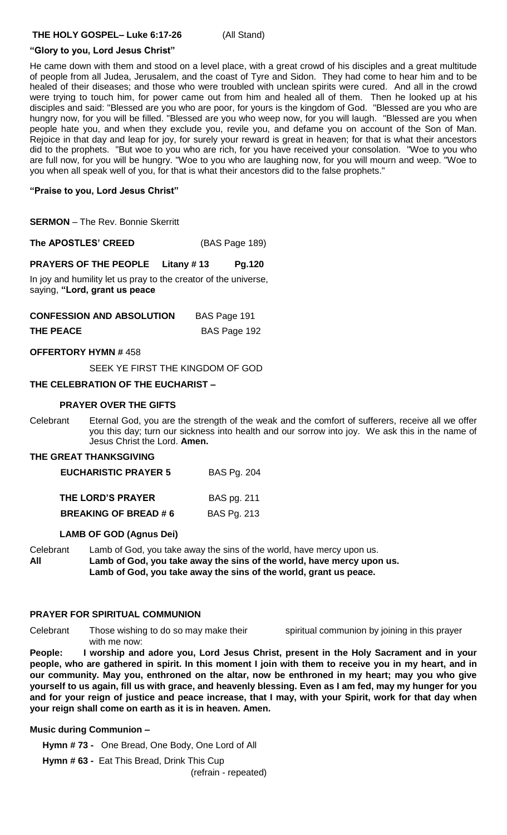## **THE HOLY GOSPEL– Luke 6:17-26** (All Stand)

## **"Glory to you, Lord Jesus Christ"**

He came down with them and stood on a level place, with a great crowd of his disciples and a great multitude of people from all Judea, Jerusalem, and the coast of Tyre and Sidon. They had come to hear him and to be healed of their diseases; and those who were troubled with unclean spirits were cured. And all in the crowd were trying to touch him, for power came out from him and healed all of them. Then he looked up at his disciples and said: "Blessed are you who are poor, for yours is the kingdom of God. "Blessed are you who are hungry now, for you will be filled. "Blessed are you who weep now, for you will laugh. "Blessed are you when people hate you, and when they exclude you, revile you, and defame you on account of the Son of Man. Rejoice in that day and leap for joy, for surely your reward is great in heaven; for that is what their ancestors did to the prophets. "But woe to you who are rich, for you have received your consolation. "Woe to you who are full now, for you will be hungry. "Woe to you who are laughing now, for you will mourn and weep. "Woe to you when all speak well of you, for that is what their ancestors did to the false prophets."

### **"Praise to you, Lord Jesus Christ"**

**SERMON** – The Rev. Bonnie Skerritt

**The APOSTLES' CREED** (BAS Page 189)

### **PRAYERS OF THE PEOPLE Litany # 13 Pg.120**

In joy and humility let us pray to the creator of the universe, saying, **"Lord, grant us peace**

| <b>CONFESSION AND ABSOLUTION</b> | BAS Page 191 |
|----------------------------------|--------------|
| THE PEACE                        | BAS Page 192 |

#### **OFFERTORY HYMN #** 458

SEEK YE FIRST THE KINGDOM OF GOD

### **THE CELEBRATION OF THE EUCHARIST –**

#### **PRAYER OVER THE GIFTS**

Celebrant Eternal God, you are the strength of the weak and the comfort of sufferers, receive all we offer you this day; turn our sickness into health and our sorrow into joy. We ask this in the name of Jesus Christ the Lord. **Amen.**

## **THE GREAT THANKSGIVING**

| <b>EUCHARISTIC PRAYER 5</b> | <b>BAS Pg. 204</b> |
|-----------------------------|--------------------|
|-----------------------------|--------------------|

| THE LORD'S PRAYER           | BAS pg. 211        |
|-----------------------------|--------------------|
| <b>BREAKING OF BREAD #6</b> | <b>BAS Pg. 213</b> |

#### **LAMB OF GOD (Agnus Dei)**

Celebrant Lamb of God, you take away the sins of the world, have mercy upon us. **All Lamb of God, you take away the sins of the world, have mercy upon us. Lamb of God, you take away the sins of the world, grant us peace.** 

#### **PRAYER FOR SPIRITUAL COMMUNION**

Celebrant Those wishing to do so may make their spiritual communion by joining in this prayer with me now:

**People: I worship and adore you, Lord Jesus Christ, present in the Holy Sacrament and in your people, who are gathered in spirit. In this moment I join with them to receive you in my heart, and in our community. May you, enthroned on the altar, now be enthroned in my heart; may you who give yourself to us again, fill us with grace, and heavenly blessing. Even as I am fed, may my hunger for you and for your reign of justice and peace increase, that I may, with your Spirit, work for that day when your reign shall come on earth as it is in heaven. Amen.**

# **Music during Communion –**

 **Hymn # 73 -** One Bread, One Body, One Lord of All

 **Hymn # 63 -** Eat This Bread, Drink This Cup

(refrain - repeated)